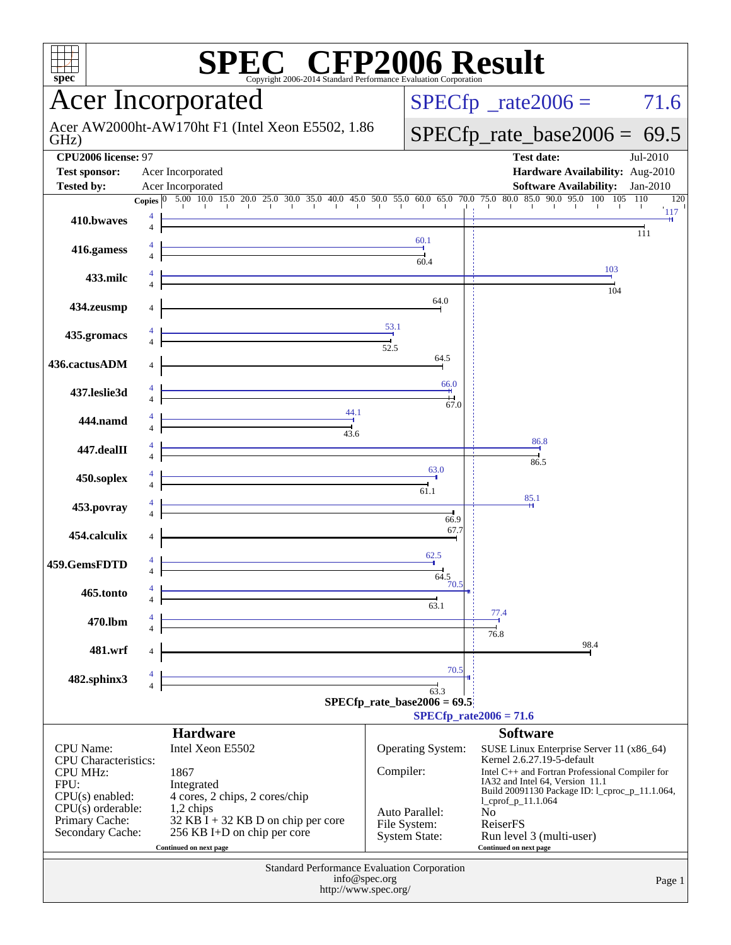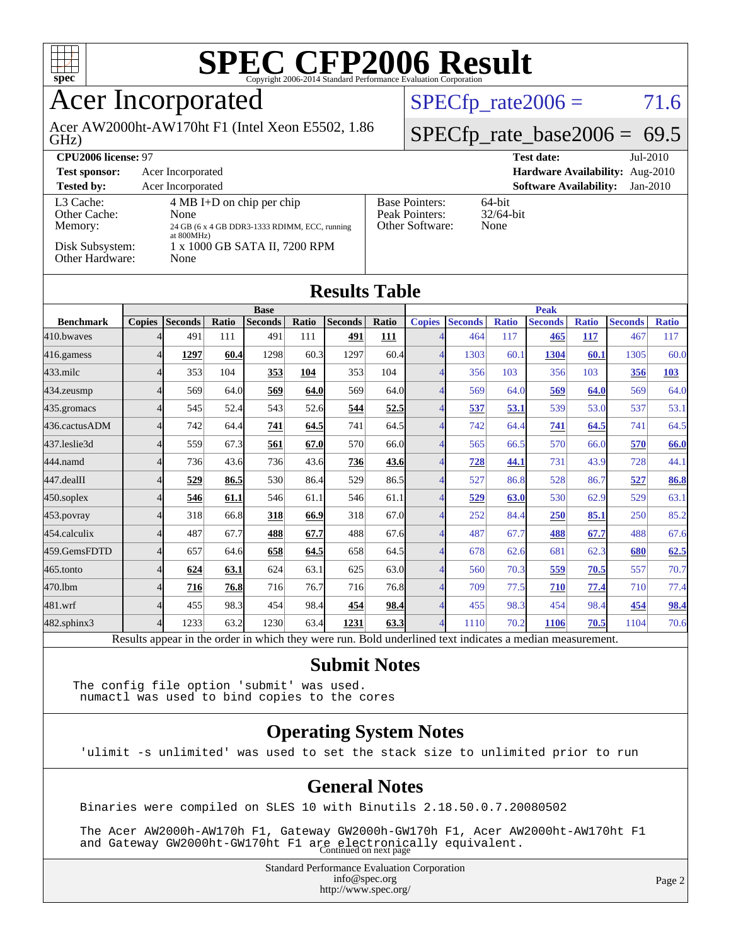

## Acer Incorporated

GHz) Acer AW2000ht-AW170ht F1 (Intel Xeon E5502, 1.86  $SPECTp_rate2006 = 71.6$ 

#### $SPECTp_rate_base2006 = 69.5$

| CPU <sub>2006</sub> license: 97                                            |                                                                                                                                                     |                                                            | <b>Test date:</b><br>$Jul-2010$             |
|----------------------------------------------------------------------------|-----------------------------------------------------------------------------------------------------------------------------------------------------|------------------------------------------------------------|---------------------------------------------|
| <b>Test sponsor:</b>                                                       | Acer Incorporated                                                                                                                                   |                                                            | Hardware Availability: Aug-2010             |
| <b>Tested by:</b>                                                          | Acer Incorporated                                                                                                                                   |                                                            | <b>Software Availability:</b><br>$Jan-2010$ |
| L3 Cache:<br>Other Cache:<br>Memory:<br>Disk Subsystem:<br>Other Hardware: | $4 \text{ MB I+D}$ on chip per chip<br>None<br>24 GB (6 x 4 GB DDR3-1333 RDIMM, ECC, running<br>at 800MHz)<br>1 x 1000 GB SATA II, 7200 RPM<br>None | <b>Base Pointers:</b><br>Peak Pointers:<br>Other Software: | $64$ -bit<br>$32/64$ -bit<br>None           |

| <b>Results Table</b> |               |                 |              |                |       |                |              |                        |                 |              |                |              |                |              |
|----------------------|---------------|-----------------|--------------|----------------|-------|----------------|--------------|------------------------|-----------------|--------------|----------------|--------------|----------------|--------------|
|                      | <b>Base</b>   |                 |              |                |       |                |              | <b>Peak</b>            |                 |              |                |              |                |              |
| <b>Benchmark</b>     | <b>Copies</b> | <b>Seconds</b>  | Ratio        | <b>Seconds</b> | Ratio | <b>Seconds</b> | <b>Ratio</b> | <b>Copies</b>          | <b>Seconds</b>  | <b>Ratio</b> | <b>Seconds</b> | <b>Ratio</b> | <b>Seconds</b> | <b>Ratio</b> |
| 410.bwayes           |               | 491             | 111          | 491            | 111   | 491            | <u> 111</u>  |                        | 464             | 117          | 465            | 117          | 467            | 117          |
| 416.gamess           |               | 1297            | 60.4         | 1298           | 60.3  | 1297           | 60.4         | 4                      | 1303            | 60.1         | 1304           | 60.1         | 1305           | 60.0         |
| $433$ .milc          |               | 353             | 104          | 353            | 104   | 353            | 104          | 4                      | 356             | 103          | 356            | 103          | 356            | 103          |
| 434.zeusmp           |               | 569             | 64.0         | 569            | 64.0  | 569            | 64.0         | 4                      | 569             | 64.0         | 569            | 64.0         | 569            | 64.0         |
| $435$ .gromacs       |               | 545             | 52.4         | 543            | 52.6  | 544            | 52.5         | 4                      | 537             | 53.1         | 539            | 53.0         | 537            | 53.1         |
| 436.cactusADM        |               | 742             | 64.4         | 741            | 64.5  | 741            | 64.5         | 4                      | 742             | 64.4         | 741            | 64.5         | 741            | 64.5         |
| 437.leslie3d         |               | 559             | 67.3         | 561            | 67.0  | 570            | 66.0         | Δ                      | 565             | 66.5         | 570            | 66.0         | 570            | 66.0         |
| 444.namd             |               | 736             | 43.6         | 736            | 43.6  | 736            | <u>43.6</u>  | Δ                      | 728             | 44.1         | 731            | 43.9         | 728            | 44.1         |
| 447.dealII           |               | 529             | 86.5         | 530            | 86.4  | 529            | 86.5         | 4                      | 527             | 86.8         | 528            | 86.7         | 527            | 86.8         |
| $450$ .soplex        |               | 546             | 61.1         | 546            | 61.1  | 546            | 61.1         | 4                      | 529             | 63.0         | 530            | 62.9         | 529            | 63.1         |
| 453.povray           |               | 318             | 66.8         | 318            | 66.9  | 318            | 67.0         |                        | 252             | 84.4         | 250            | 85.1         | 250            | 85.2         |
| 454.calculix         |               | 487             | 67.7         | 488            | 67.7  | 488            | 67.6         | 4                      | 487             | 67.7         | 488            | 67.7         | 488            | 67.6         |
| 459.GemsFDTD         |               | 657             | 64.6         | 658            | 64.5  | 658            | 64.5         | 4                      | 678             | 62.6         | 681            | 62.3         | 680            | 62.5         |
| 465.tonto            |               | 624             | 63.1         | 624            | 63.1  | 625            | 63.0         | 4                      | 560             | 70.3         | 559            | 70.5         | 557            | 70.7         |
| 470.1bm              |               | 716             | 76.8         | 716            | 76.7  | 716            | 76.8         | 4                      | 709             | 77.5         | 710            | 77.4         | 710            | 77.4         |
| 481.wrf              |               | 455             | 98.3         | 454            | 98.4  | 454            | 98.4         | 4                      | 455             | 98.3         | 454            | 98.4         | 454            | 98.4         |
| 482.sphinx3          |               | 1233            | 63.2         | 1230           | 63.4  | 1231           | 63.3         | 4                      | 1110            | 70.2         | 1106           | 70.5         | 1104           | 70.6         |
| $\mathbf{r}$         |               | $\cdot$ $\cdot$ | $\mathbf{I}$ | 1.1.1          |       |                | $T = 1.1$    | 1.11<br>$\blacksquare$ | $\cdot$ $\cdot$ |              |                |              |                |              |

Results appear in the [order in which they were run.](http://www.spec.org/auto/cpu2006/Docs/result-fields.html#RunOrder) Bold underlined text [indicates a median measurement.](http://www.spec.org/auto/cpu2006/Docs/result-fields.html#Median)

#### **[Submit Notes](http://www.spec.org/auto/cpu2006/Docs/result-fields.html#SubmitNotes)**

The config file option 'submit' was used. numactl was used to bind copies to the cores

#### **[Operating System Notes](http://www.spec.org/auto/cpu2006/Docs/result-fields.html#OperatingSystemNotes)**

'ulimit -s unlimited' was used to set the stack size to unlimited prior to run

#### **[General Notes](http://www.spec.org/auto/cpu2006/Docs/result-fields.html#GeneralNotes)**

Binaries were compiled on SLES 10 with Binutils 2.18.50.0.7.20080502

 The Acer AW2000h-AW170h F1, Gateway GW2000h-GW170h F1, Acer AW2000ht-AW170ht F1 and Gateway GW2000ht-GW170ht F1 are electronically equivalent.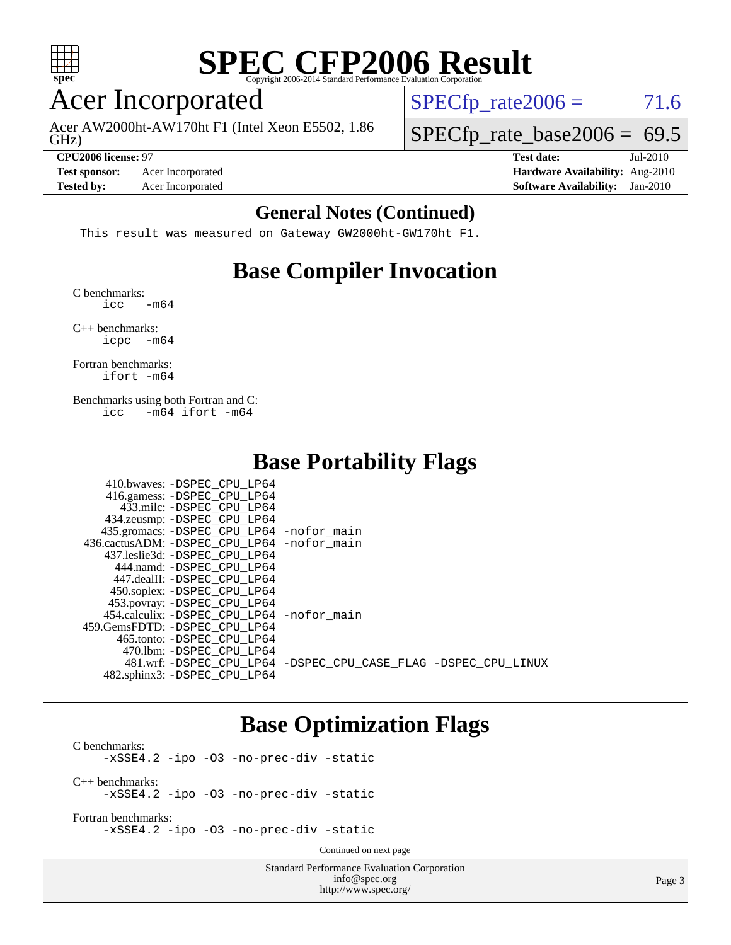

### Acer Incorporated

GHz) Acer AW2000ht-AW170ht F1 (Intel Xeon E5502, 1.86  $SPECTp_rate2006 = 71.6$ 

 $SPECTp_rate\_base2006 = 69.5$ **[CPU2006 license:](http://www.spec.org/auto/cpu2006/Docs/result-fields.html#CPU2006license)** 97 **[Test date:](http://www.spec.org/auto/cpu2006/Docs/result-fields.html#Testdate)** Jul-2010

**[Test sponsor:](http://www.spec.org/auto/cpu2006/Docs/result-fields.html#Testsponsor)** Acer Incorporated **[Hardware Availability:](http://www.spec.org/auto/cpu2006/Docs/result-fields.html#HardwareAvailability)** Aug-2010 **[Tested by:](http://www.spec.org/auto/cpu2006/Docs/result-fields.html#Testedby)** Acer Incorporated **[Software Availability:](http://www.spec.org/auto/cpu2006/Docs/result-fields.html#SoftwareAvailability)** Jan-2010

#### **[General Notes \(Continued\)](http://www.spec.org/auto/cpu2006/Docs/result-fields.html#GeneralNotes)**

This result was measured on Gateway GW2000ht-GW170ht F1.

### **[Base Compiler Invocation](http://www.spec.org/auto/cpu2006/Docs/result-fields.html#BaseCompilerInvocation)**

[C benchmarks](http://www.spec.org/auto/cpu2006/Docs/result-fields.html#Cbenchmarks):  $\text{icc}$   $-\text{m64}$ 

[C++ benchmarks:](http://www.spec.org/auto/cpu2006/Docs/result-fields.html#CXXbenchmarks) [icpc -m64](http://www.spec.org/cpu2006/results/res2010q3/cpu2006-20100802-12807.flags.html#user_CXXbase_intel_icpc_64bit_bedb90c1146cab66620883ef4f41a67e)

[Fortran benchmarks](http://www.spec.org/auto/cpu2006/Docs/result-fields.html#Fortranbenchmarks): [ifort -m64](http://www.spec.org/cpu2006/results/res2010q3/cpu2006-20100802-12807.flags.html#user_FCbase_intel_ifort_64bit_ee9d0fb25645d0210d97eb0527dcc06e)

[Benchmarks using both Fortran and C](http://www.spec.org/auto/cpu2006/Docs/result-fields.html#BenchmarksusingbothFortranandC): [icc -m64](http://www.spec.org/cpu2006/results/res2010q3/cpu2006-20100802-12807.flags.html#user_CC_FCbase_intel_icc_64bit_0b7121f5ab7cfabee23d88897260401c) [ifort -m64](http://www.spec.org/cpu2006/results/res2010q3/cpu2006-20100802-12807.flags.html#user_CC_FCbase_intel_ifort_64bit_ee9d0fb25645d0210d97eb0527dcc06e)

 $410.1$  . .  $RQPQQQQPHQQQQPHQQ$ 

### **[Base Portability Flags](http://www.spec.org/auto/cpu2006/Docs/result-fields.html#BasePortabilityFlags)**

| 410.0Waves: -DSPEC CPU LP64                |                                                                |
|--------------------------------------------|----------------------------------------------------------------|
| 416.gamess: -DSPEC_CPU_LP64                |                                                                |
| 433.milc: -DSPEC CPU LP64                  |                                                                |
| 434.zeusmp: -DSPEC_CPU_LP64                |                                                                |
| 435.gromacs: -DSPEC_CPU_LP64 -nofor_main   |                                                                |
| 436.cactusADM: -DSPEC CPU LP64 -nofor main |                                                                |
| 437.leslie3d: -DSPEC CPU LP64              |                                                                |
| 444.namd: -DSPEC CPU LP64                  |                                                                |
| 447.dealII: -DSPEC_CPU_LP64                |                                                                |
| 450.soplex: -DSPEC_CPU_LP64                |                                                                |
| 453.povray: -DSPEC_CPU_LP64                |                                                                |
| 454.calculix: -DSPEC CPU LP64 -nofor main  |                                                                |
| 459. GemsFDTD: - DSPEC CPU LP64            |                                                                |
| 465.tonto: -DSPEC CPU LP64                 |                                                                |
| 470.1bm: - DSPEC CPU LP64                  |                                                                |
|                                            | 481.wrf: -DSPEC CPU LP64 -DSPEC CPU CASE FLAG -DSPEC CPU LINUX |
| 482.sphinx3: -DSPEC CPU LP64               |                                                                |
|                                            |                                                                |

### **[Base Optimization Flags](http://www.spec.org/auto/cpu2006/Docs/result-fields.html#BaseOptimizationFlags)**

[C benchmarks](http://www.spec.org/auto/cpu2006/Docs/result-fields.html#Cbenchmarks): [-xSSE4.2](http://www.spec.org/cpu2006/results/res2010q3/cpu2006-20100802-12807.flags.html#user_CCbase_f-xSSE42_f91528193cf0b216347adb8b939d4107) [-ipo](http://www.spec.org/cpu2006/results/res2010q3/cpu2006-20100802-12807.flags.html#user_CCbase_f-ipo) [-O3](http://www.spec.org/cpu2006/results/res2010q3/cpu2006-20100802-12807.flags.html#user_CCbase_f-O3) [-no-prec-div](http://www.spec.org/cpu2006/results/res2010q3/cpu2006-20100802-12807.flags.html#user_CCbase_f-no-prec-div) [-static](http://www.spec.org/cpu2006/results/res2010q3/cpu2006-20100802-12807.flags.html#user_CCbase_f-static) [C++ benchmarks:](http://www.spec.org/auto/cpu2006/Docs/result-fields.html#CXXbenchmarks) [-xSSE4.2](http://www.spec.org/cpu2006/results/res2010q3/cpu2006-20100802-12807.flags.html#user_CXXbase_f-xSSE42_f91528193cf0b216347adb8b939d4107) [-ipo](http://www.spec.org/cpu2006/results/res2010q3/cpu2006-20100802-12807.flags.html#user_CXXbase_f-ipo) [-O3](http://www.spec.org/cpu2006/results/res2010q3/cpu2006-20100802-12807.flags.html#user_CXXbase_f-O3) [-no-prec-div](http://www.spec.org/cpu2006/results/res2010q3/cpu2006-20100802-12807.flags.html#user_CXXbase_f-no-prec-div) [-static](http://www.spec.org/cpu2006/results/res2010q3/cpu2006-20100802-12807.flags.html#user_CXXbase_f-static)

[Fortran benchmarks](http://www.spec.org/auto/cpu2006/Docs/result-fields.html#Fortranbenchmarks): [-xSSE4.2](http://www.spec.org/cpu2006/results/res2010q3/cpu2006-20100802-12807.flags.html#user_FCbase_f-xSSE42_f91528193cf0b216347adb8b939d4107) [-ipo](http://www.spec.org/cpu2006/results/res2010q3/cpu2006-20100802-12807.flags.html#user_FCbase_f-ipo) [-O3](http://www.spec.org/cpu2006/results/res2010q3/cpu2006-20100802-12807.flags.html#user_FCbase_f-O3) [-no-prec-div](http://www.spec.org/cpu2006/results/res2010q3/cpu2006-20100802-12807.flags.html#user_FCbase_f-no-prec-div) [-static](http://www.spec.org/cpu2006/results/res2010q3/cpu2006-20100802-12807.flags.html#user_FCbase_f-static)

Continued on next page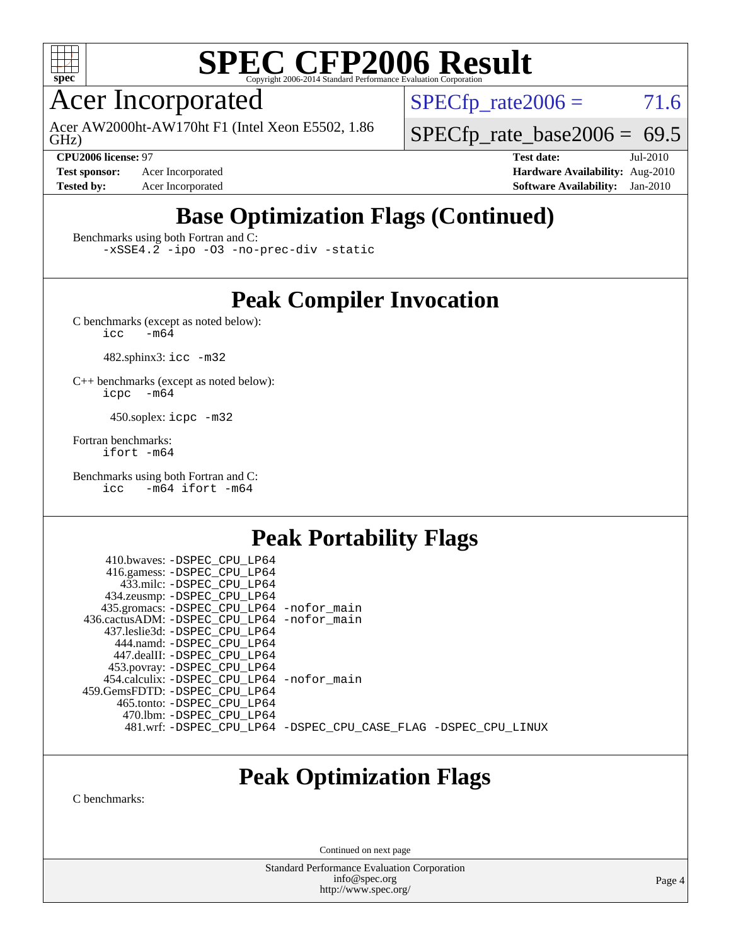

## Acer Incorporated

GHz) Acer AW2000ht-AW170ht F1 (Intel Xeon E5502, 1.86  $SPECTp\_rate2006 = 71.6$ 

 $SPECTp_rate\_base2006 = 69.5$ 

**[Test sponsor:](http://www.spec.org/auto/cpu2006/Docs/result-fields.html#Testsponsor)** Acer Incorporated **[Hardware Availability:](http://www.spec.org/auto/cpu2006/Docs/result-fields.html#HardwareAvailability)** Aug-2010

**[CPU2006 license:](http://www.spec.org/auto/cpu2006/Docs/result-fields.html#CPU2006license)** 97 **[Test date:](http://www.spec.org/auto/cpu2006/Docs/result-fields.html#Testdate)** Jul-2010 **[Tested by:](http://www.spec.org/auto/cpu2006/Docs/result-fields.html#Testedby)** Acer Incorporated **[Software Availability:](http://www.spec.org/auto/cpu2006/Docs/result-fields.html#SoftwareAvailability)** Jan-2010

## **[Base Optimization Flags \(Continued\)](http://www.spec.org/auto/cpu2006/Docs/result-fields.html#BaseOptimizationFlags)**

[Benchmarks using both Fortran and C](http://www.spec.org/auto/cpu2006/Docs/result-fields.html#BenchmarksusingbothFortranandC):

[-xSSE4.2](http://www.spec.org/cpu2006/results/res2010q3/cpu2006-20100802-12807.flags.html#user_CC_FCbase_f-xSSE42_f91528193cf0b216347adb8b939d4107) [-ipo](http://www.spec.org/cpu2006/results/res2010q3/cpu2006-20100802-12807.flags.html#user_CC_FCbase_f-ipo) [-O3](http://www.spec.org/cpu2006/results/res2010q3/cpu2006-20100802-12807.flags.html#user_CC_FCbase_f-O3) [-no-prec-div](http://www.spec.org/cpu2006/results/res2010q3/cpu2006-20100802-12807.flags.html#user_CC_FCbase_f-no-prec-div) [-static](http://www.spec.org/cpu2006/results/res2010q3/cpu2006-20100802-12807.flags.html#user_CC_FCbase_f-static)

### **[Peak Compiler Invocation](http://www.spec.org/auto/cpu2006/Docs/result-fields.html#PeakCompilerInvocation)**

[C benchmarks \(except as noted below\)](http://www.spec.org/auto/cpu2006/Docs/result-fields.html#Cbenchmarksexceptasnotedbelow):<br> $\frac{1}{\text{CC}}$  -m64  $-m64$ 

482.sphinx3: [icc -m32](http://www.spec.org/cpu2006/results/res2010q3/cpu2006-20100802-12807.flags.html#user_peakCCLD482_sphinx3_intel_icc_32bit_a6a621f8d50482236b970c6ac5f55f93)

[C++ benchmarks \(except as noted below\):](http://www.spec.org/auto/cpu2006/Docs/result-fields.html#CXXbenchmarksexceptasnotedbelow) [icpc -m64](http://www.spec.org/cpu2006/results/res2010q3/cpu2006-20100802-12807.flags.html#user_CXXpeak_intel_icpc_64bit_bedb90c1146cab66620883ef4f41a67e)

450.soplex: [icpc -m32](http://www.spec.org/cpu2006/results/res2010q3/cpu2006-20100802-12807.flags.html#user_peakCXXLD450_soplex_intel_icpc_32bit_4e5a5ef1a53fd332b3c49e69c3330699)

[Fortran benchmarks](http://www.spec.org/auto/cpu2006/Docs/result-fields.html#Fortranbenchmarks): [ifort -m64](http://www.spec.org/cpu2006/results/res2010q3/cpu2006-20100802-12807.flags.html#user_FCpeak_intel_ifort_64bit_ee9d0fb25645d0210d97eb0527dcc06e)

[Benchmarks using both Fortran and C](http://www.spec.org/auto/cpu2006/Docs/result-fields.html#BenchmarksusingbothFortranandC): [icc -m64](http://www.spec.org/cpu2006/results/res2010q3/cpu2006-20100802-12807.flags.html#user_CC_FCpeak_intel_icc_64bit_0b7121f5ab7cfabee23d88897260401c) [ifort -m64](http://www.spec.org/cpu2006/results/res2010q3/cpu2006-20100802-12807.flags.html#user_CC_FCpeak_intel_ifort_64bit_ee9d0fb25645d0210d97eb0527dcc06e)

### **[Peak Portability Flags](http://www.spec.org/auto/cpu2006/Docs/result-fields.html#PeakPortabilityFlags)**

 410.bwaves: [-DSPEC\\_CPU\\_LP64](http://www.spec.org/cpu2006/results/res2010q3/cpu2006-20100802-12807.flags.html#suite_peakPORTABILITY410_bwaves_DSPEC_CPU_LP64) 416.gamess: [-DSPEC\\_CPU\\_LP64](http://www.spec.org/cpu2006/results/res2010q3/cpu2006-20100802-12807.flags.html#suite_peakPORTABILITY416_gamess_DSPEC_CPU_LP64) 433.milc: [-DSPEC\\_CPU\\_LP64](http://www.spec.org/cpu2006/results/res2010q3/cpu2006-20100802-12807.flags.html#suite_peakPORTABILITY433_milc_DSPEC_CPU_LP64) 434.zeusmp: [-DSPEC\\_CPU\\_LP64](http://www.spec.org/cpu2006/results/res2010q3/cpu2006-20100802-12807.flags.html#suite_peakPORTABILITY434_zeusmp_DSPEC_CPU_LP64) 435.gromacs: [-DSPEC\\_CPU\\_LP64](http://www.spec.org/cpu2006/results/res2010q3/cpu2006-20100802-12807.flags.html#suite_peakPORTABILITY435_gromacs_DSPEC_CPU_LP64) [-nofor\\_main](http://www.spec.org/cpu2006/results/res2010q3/cpu2006-20100802-12807.flags.html#user_peakLDPORTABILITY435_gromacs_f-nofor_main) 436.cactusADM: [-DSPEC\\_CPU\\_LP64](http://www.spec.org/cpu2006/results/res2010q3/cpu2006-20100802-12807.flags.html#suite_peakPORTABILITY436_cactusADM_DSPEC_CPU_LP64) [-nofor\\_main](http://www.spec.org/cpu2006/results/res2010q3/cpu2006-20100802-12807.flags.html#user_peakLDPORTABILITY436_cactusADM_f-nofor_main) 437.leslie3d: [-DSPEC\\_CPU\\_LP64](http://www.spec.org/cpu2006/results/res2010q3/cpu2006-20100802-12807.flags.html#suite_peakPORTABILITY437_leslie3d_DSPEC_CPU_LP64) 444.namd: [-DSPEC\\_CPU\\_LP64](http://www.spec.org/cpu2006/results/res2010q3/cpu2006-20100802-12807.flags.html#suite_peakPORTABILITY444_namd_DSPEC_CPU_LP64) 447.dealII: [-DSPEC\\_CPU\\_LP64](http://www.spec.org/cpu2006/results/res2010q3/cpu2006-20100802-12807.flags.html#suite_peakPORTABILITY447_dealII_DSPEC_CPU_LP64) 453.povray: [-DSPEC\\_CPU\\_LP64](http://www.spec.org/cpu2006/results/res2010q3/cpu2006-20100802-12807.flags.html#suite_peakPORTABILITY453_povray_DSPEC_CPU_LP64) 454.calculix: [-DSPEC\\_CPU\\_LP64](http://www.spec.org/cpu2006/results/res2010q3/cpu2006-20100802-12807.flags.html#suite_peakPORTABILITY454_calculix_DSPEC_CPU_LP64) [-nofor\\_main](http://www.spec.org/cpu2006/results/res2010q3/cpu2006-20100802-12807.flags.html#user_peakLDPORTABILITY454_calculix_f-nofor_main) 459.GemsFDTD: [-DSPEC\\_CPU\\_LP64](http://www.spec.org/cpu2006/results/res2010q3/cpu2006-20100802-12807.flags.html#suite_peakPORTABILITY459_GemsFDTD_DSPEC_CPU_LP64) 465.tonto: [-DSPEC\\_CPU\\_LP64](http://www.spec.org/cpu2006/results/res2010q3/cpu2006-20100802-12807.flags.html#suite_peakPORTABILITY465_tonto_DSPEC_CPU_LP64) 470.lbm: [-DSPEC\\_CPU\\_LP64](http://www.spec.org/cpu2006/results/res2010q3/cpu2006-20100802-12807.flags.html#suite_peakPORTABILITY470_lbm_DSPEC_CPU_LP64) 481.wrf: [-DSPEC\\_CPU\\_LP64](http://www.spec.org/cpu2006/results/res2010q3/cpu2006-20100802-12807.flags.html#suite_peakPORTABILITY481_wrf_DSPEC_CPU_LP64) [-DSPEC\\_CPU\\_CASE\\_FLAG](http://www.spec.org/cpu2006/results/res2010q3/cpu2006-20100802-12807.flags.html#b481.wrf_peakCPORTABILITY_DSPEC_CPU_CASE_FLAG) [-DSPEC\\_CPU\\_LINUX](http://www.spec.org/cpu2006/results/res2010q3/cpu2006-20100802-12807.flags.html#b481.wrf_peakCPORTABILITY_DSPEC_CPU_LINUX)

### **[Peak Optimization Flags](http://www.spec.org/auto/cpu2006/Docs/result-fields.html#PeakOptimizationFlags)**

[C benchmarks](http://www.spec.org/auto/cpu2006/Docs/result-fields.html#Cbenchmarks):

Continued on next page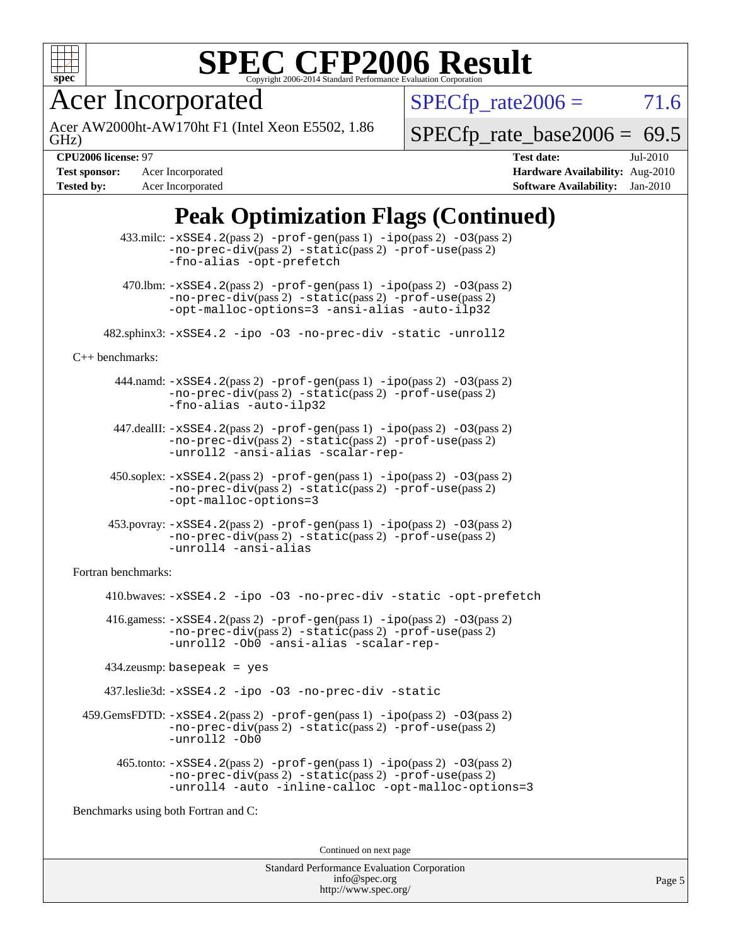

Acer Incorporated

GHz) Acer AW2000ht-AW170ht F1 (Intel Xeon E5502, 1.86  $SPECTp_rate2006 = 71.6$ 

[SPECfp\\_rate\\_base2006 =](http://www.spec.org/auto/cpu2006/Docs/result-fields.html#SPECfpratebase2006) 69.5

**[Tested by:](http://www.spec.org/auto/cpu2006/Docs/result-fields.html#Testedby)** Acer Incorporated **[Software Availability:](http://www.spec.org/auto/cpu2006/Docs/result-fields.html#SoftwareAvailability)** Jan-2010

**[CPU2006 license:](http://www.spec.org/auto/cpu2006/Docs/result-fields.html#CPU2006license)** 97 **[Test date:](http://www.spec.org/auto/cpu2006/Docs/result-fields.html#Testdate)** Jul-2010 **[Test sponsor:](http://www.spec.org/auto/cpu2006/Docs/result-fields.html#Testsponsor)** Acer Incorporated **[Hardware Availability:](http://www.spec.org/auto/cpu2006/Docs/result-fields.html#HardwareAvailability)** Aug-2010

## **[Peak Optimization Flags \(Continued\)](http://www.spec.org/auto/cpu2006/Docs/result-fields.html#PeakOptimizationFlags)**

|                                      | $433 \text{.}$ milc: $-xSSE4$ . $2(pass 2)$ -prof-gen $(pass 1)$ -ipo $(pass 2)$ -03 $(pass 2)$<br>$-no-prec-div(pass 2) -static(pass 2) -prof-use(pass 2)$<br>-fno-alias -opt-prefetch                                    |  |  |
|--------------------------------------|----------------------------------------------------------------------------------------------------------------------------------------------------------------------------------------------------------------------------|--|--|
|                                      | 470.1bm: -xSSE4.2(pass 2) -prof-gen(pass 1) -ipo(pass 2) -03(pass 2)<br>$-no-prec-div(pass 2) -static(pass 2) -prof-use(pass 2)$<br>-opt-malloc-options=3 -ansi-alias -auto-ilp32                                          |  |  |
|                                      | 482.sphinx3:-xSSE4.2 -ipo -03 -no-prec-div -static -unroll2                                                                                                                                                                |  |  |
| $C++$ benchmarks:                    |                                                                                                                                                                                                                            |  |  |
|                                      | $444$ .namd: $-xSSE4$ . $2(pass 2)$ -prof-gen(pass 1) -ipo(pass 2) -03(pass 2)<br>-no-prec-div(pass 2) -static(pass 2) -prof-use(pass 2)<br>-fno-alias -auto-ilp32                                                         |  |  |
|                                      | 447.dealII: -xSSE4.2(pass 2) -prof-gen(pass 1) -ipo(pass 2) -03(pass 2)<br>$-no-prec-div(pass 2) -static(pass 2) -prof-use(pass 2)$<br>-unroll2 -ansi-alias -scalar-rep-                                                   |  |  |
|                                      | $450.\text{soplex: } -x\text{SSE4}.2(\text{pass 2}) - \text{prof-gen}(\text{pass 1}) - \text{ipo}(\text{pass 2}) - 03(\text{pass 2})$<br>$-no-prec-div(pass 2) -static(pass 2) -prof-use(pass 2)$<br>-opt-malloc-options=3 |  |  |
|                                      | $453.$ povray: $-xSSE4.2(pass2)$ -prof-gen $(pass1)$ -ipo $(pass2)$ -03 $(pass2)$<br>$-no-prec-div(pass 2) -static(pass 2) -prof-use(pass 2)$<br>-unroll4 -ansi-alias                                                      |  |  |
| Fortran benchmarks:                  |                                                                                                                                                                                                                            |  |  |
|                                      | 410.bwaves: -xSSE4.2 -ipo -03 -no-prec-div -static -opt-prefetch                                                                                                                                                           |  |  |
|                                      | 416.gamess: $-xSSE4$ . 2(pass 2) $-prof-gen(pass 1) -ipo(pass 2) -O3(pass 2)$<br>$-no-prec-div(pass 2) -static(pass 2) -prof-use(pass 2)$<br>-unroll2 -Ob0 -ansi-alias -scalar-rep-                                        |  |  |
|                                      | $434$ .zeusmp: basepeak = yes                                                                                                                                                                                              |  |  |
|                                      | 437.leslie3d: -xSSE4.2 -ipo -03 -no-prec-div -static                                                                                                                                                                       |  |  |
|                                      | 459. GemsFDTD: -xSSE4. 2(pass 2) -prof-gen(pass 1) -ipo(pass 2) -03(pass 2)<br>$-no-prec-div(pass 2) -static(pass 2) -prof-use(pass 2)$<br>-unroll2 -Ob0                                                                   |  |  |
|                                      | 465.tonto: -xSSE4.2(pass 2) -prof-gen(pass 1) -ipo(pass 2) -03(pass 2)<br>-no-prec-div(pass 2) -static(pass 2) -prof-use(pass 2)<br>-unroll4 -auto -inline-calloc -opt-malloc-options=3                                    |  |  |
| Benchmarks using both Fortran and C: |                                                                                                                                                                                                                            |  |  |
|                                      | Continued on next page                                                                                                                                                                                                     |  |  |
|                                      |                                                                                                                                                                                                                            |  |  |